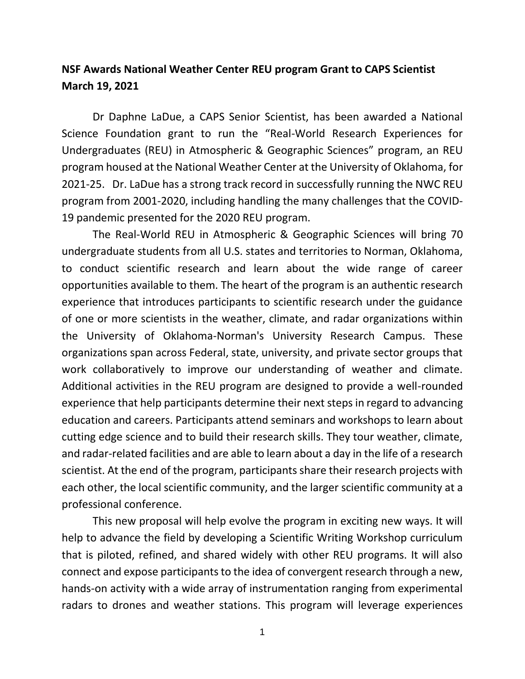## **NSF Awards National Weather Center REU program Grant to CAPS Scientist March 19, 2021**

Dr Daphne LaDue, a CAPS Senior Scientist, has been awarded a National Science Foundation grant to run the "Real-World Research Experiences for Undergraduates (REU) in Atmospheric & Geographic Sciences" program, an REU program housed at the National Weather Center at the University of Oklahoma, for 2021-25. Dr. LaDue has a strong track record in successfully running the NWC REU program from 2001-2020, including handling the many challenges that the COVID-19 pandemic presented for the 2020 REU program.

The Real-World REU in Atmospheric & Geographic Sciences will bring 70 undergraduate students from all U.S. states and territories to Norman, Oklahoma, to conduct scientific research and learn about the wide range of career opportunities available to them. The heart of the program is an authentic research experience that introduces participants to scientific research under the guidance of one or more scientists in the weather, climate, and radar organizations within the University of Oklahoma-Norman's University Research Campus. These organizations span across Federal, state, university, and private sector groups that work collaboratively to improve our understanding of weather and climate. Additional activities in the REU program are designed to provide a well-rounded experience that help participants determine their next steps in regard to advancing education and careers. Participants attend seminars and workshops to learn about cutting edge science and to build their research skills. They tour weather, climate, and radar-related facilities and are able to learn about a day in the life of a research scientist. At the end of the program, participants share their research projects with each other, the local scientific community, and the larger scientific community at a professional conference.

This new proposal will help evolve the program in exciting new ways. It will help to advance the field by developing a Scientific Writing Workshop curriculum that is piloted, refined, and shared widely with other REU programs. It will also connect and expose participants to the idea of convergent research through a new, hands-on activity with a wide array of instrumentation ranging from experimental radars to drones and weather stations. This program will leverage experiences

<sup>1</sup>